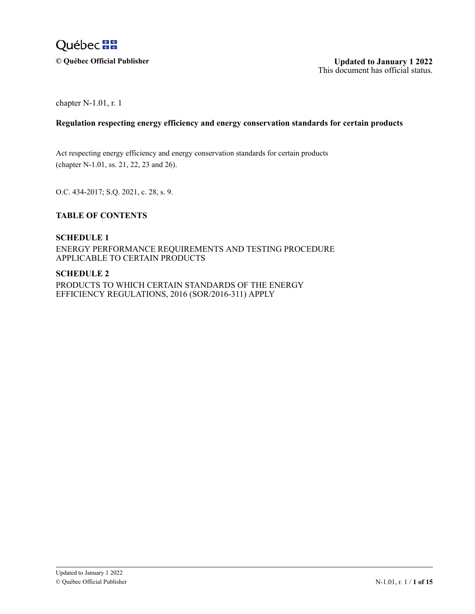

 $\odot$  Québec Official Publisher

chapter N-1.01, r. 1

## **Regulation respecting energy efficiency and energy conservation standards for certain products**

 $\lambda$ Act respecting energy efficiency and energy conservation standards for certain products (chapter N-1.01, ss. 21, 22, 23 and 26).

O.C. 434-2017; S.Q. 2021, c. 28, s. 9.

#### F I  $\overline{a}$ **TABLE OF CONTENTS**  $\mathbf{I}$

# **SCHEDULE 1**

E 0 1 ENERGY PERFORMANCE REQUIREMENTS AND TESTING PROCEDURE N C —<br>∆ **APPLICABLE TO CERTAIN PRODUCTS** 

### **SCHEDULE 2**

— 2 PRODUCTS TO WHICH CERTAIN STANDARDS OF THE ENERGY E  $\overline{a}$ i<br>R 1 EFFICIENCY REGULATIONS, 2016 (SOR/2016-311) APPLY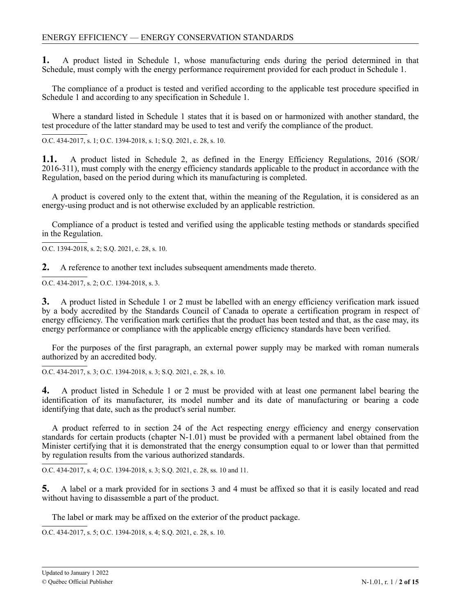**1.** A product listed in Schedule 1, whose manufacturing ends during the period determined in that Schedule, must comply with the energy performance requirement provided for each product in Schedule 1.

The compliance of a product is tested and verified according to the applicable test procedure specified in Schedule 1 and according to any specification in Schedule 1.

Where a standard listed in Schedule 1 states that it is based on or harmonized with another standard, the test procedure of the latter standard may be used to test and verify the compliance of the product.

O.C. 434-2017, s. 1; O.C. 1394-2018, s. 1; S.Q. 2021, c. 28, s. 10.

 $1.1.$ 2016-311), must comply with the energy efficiency standards applicable to the product in accordance with the Regulation, based on the period during which its manufacturing is completed. 1.1. A product listed in Schedule 2, as defined in the Energy Efficiency Regulations, 2016 (SOR/

energy-using product and is not otherwise excluded by an applicable restriction. A product is covered only to the extent that, within the meaning of the Regulation, it is considered as an

Compliance of a product is tested and verified using the applicable testing methods or standards specified in the Regulation.

O.C. 1394-2018, s. 2; S.Q. 2021, c. 28, s. 10.

 $2.$ **2.** A reference to another text includes subsequent amendments made thereto.

4 O.C. 434-2017, s. 2; O.C. 1394-2018, s. 3.

0 4 by a body accredited by the Standards Council of Canada to operate a certification program in respect of energy efficiency. The verification mark certifies that the product has been tested and that, as the case may, its energy performance or compliance with the applicable energy efficiency standards have been verified. 9 **3.** A product listed in Schedule 1 or 2 must be labelled with an energy efficiency verification mark issued

For the purposes of the first paragraph, an external power supply may be marked with roman numerals authorized by an accredited body.

O.C. 434-2017, s. 3; O.C. 1394-2018, s. 3; S.Q. 2021, c. 28, s. 10.

4 identification of its manufacturer, its model number and its date of manufacturing or bearing a code identifying that date, such as the product's serial number. 9 **4.** A product listed in Schedule 1 or 2 must be provided with at least one permanent label bearing the

standards for certain products (chapter N-1.01) must be provided with a permanent label obtained from the A product referred to in section 24 of the Act respecting energy efficiency and energy conservation Minister certifying that it is demonstrated that the energy consumption equal to or lower than that permitted by regulation results from the various authorized standards.

O.C. 434-2017, s. 4; O.C. 1394-2018, s. 3; S.Q. 2021, c. 28, ss. 10 and 11.

5. A label or a mark provided for in sections 3 and 4 must be affixed so that it is easily located and read without having to disassemble a part of the product.

The label or mark may be affixed on the exterior of the product package.

O.C. 434-2017, s. 5; O.C. 1394-2018, s. 4; S.Q. 2021, c. 28, s. 10.

 $\overline{a}$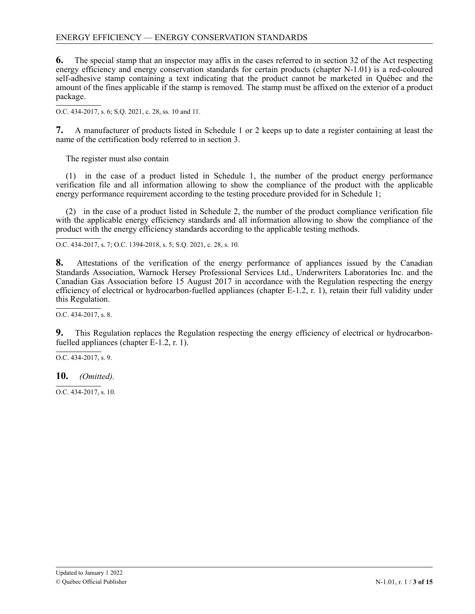## ENERGY EFFICIENCY — ENERGY CONSERVATION STANDARDS

**6.** The special stamp that an inspector may affix in the cases referred to in section 32 of the Act respecting energy efficiency and energy conservation standards for certain products (chapter N-1.01) is a red-coloured self-adhesive stamp containing a text indicating that the product cannot be marketed in Québec and the amount of the fines applicable if the stamp is removed. The stamp must be affixed on the exterior of a product package.

4 O.C. 434-2017, s. 6; S.Q. 2021, c. 28, ss. 10 and 11.

4 **7.** A manufacturer of products listed in Schedule 1 or 2 keeps up to date a register containing at least the name of the certification body referred to in section 3.

The register must also contain

(1) in the case of a product listed in Schedule 1, the number of the product energy performance verification file and all information allowing to show the compliance of the product with the applicable energy performance requirement according to the testing procedure provided for in Schedule 1;

(2) in the case of a product listed in Schedule 2, the number of the product compliance verification file with the applicable energy efficiency standards and all information allowing to show the compliance of the product with the energy efficiency standards according to the applicable testing methods.

O.C. 434-2017, s. 7; O.C. 1394-2018, s. 5; S.Q. 2021, c. 28, s. 10.

8. Standards Association, Warnock Hersey Professional Services Ltd., Underwriters Laboratories Inc. and the 2 - Canadian Gas Association before 15 August 2017 in accordance with the Regulation respecting the energy efficiency of electrical or hydrocarbon-fuelled appliances (chapter E-1.2, r. 1), retain their full validity under this Regulation. 9 **8.** Attestations of the verification of the energy performance of appliances issued by the Canadian

 $\overline{a}$ O.C. 434-2017, s. 8.

9. fuelled appliances (chapter E-1.2, r. 1). This Regulation replaces the Regulation respecting the energy efficiency of electrical or hydrocarbon-

2 0 4 O.C. 434-2017, s. 9.

7 4 **10.** *(Omitted).*

- 2 4 O.C. 434-2017, s. 10.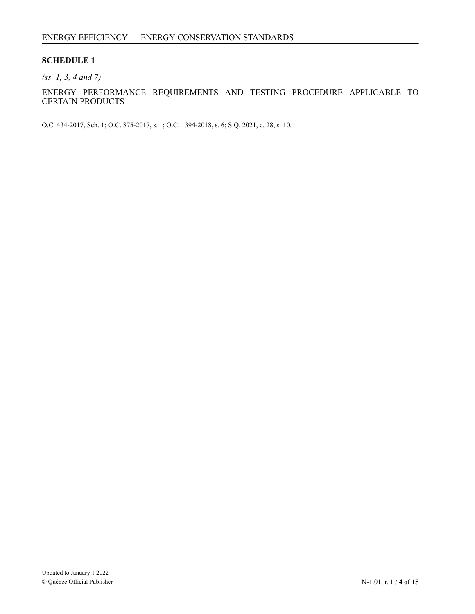## **SCHEDULE 1**

*(ss. 1, 3, 4 and 7)*

ENERGY PERFORMANCE REQUIREMENTS AND TESTING PROCEDURE APPLICABLE TO CERTAIN PRODUCTS

O.C. 434-2017, Sch. 1; O.C. 875-2017, s. 1; O.C. 1394-2018, s. 6; S.Q. 2021, c. 28, s. 10.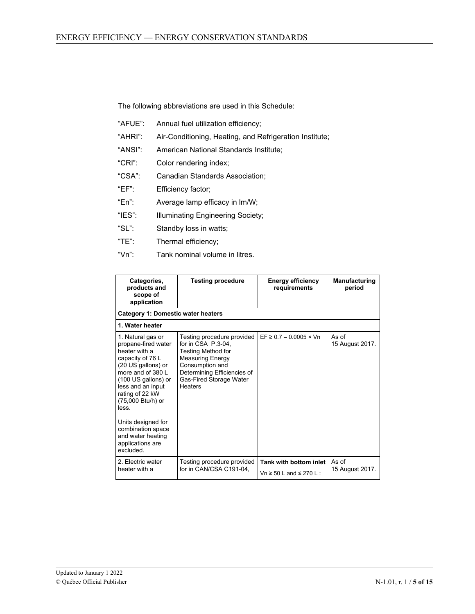The following abbreviations are used in this Schedule:

- "AFUE": Annual fuel utilization efficiency;
- "AHRI": Air-Conditioning, Heating, and Refrigeration Institute;
- "ANSI": American National Standards Institute;
- "CRI": Color rendering index;
- "CSA": Canadian Standards Association;
- "EF": Efficiency factor;
- "En": Average lamp efficacy in lm/W;
- "IES": Illuminating Engineering Society;
- "SL": Standby loss in watts;
- "TE": Thermal efficiency;
- "Vn": Tank nominal volume in litres.

| Categories,<br>products and<br>scope of<br>application                                                                                                                                                                                                                                                                  | <b>Testing procedure</b>                                                                                                                                                                  | <b>Energy efficiency</b><br>requirements | Manufacturing<br>period  |
|-------------------------------------------------------------------------------------------------------------------------------------------------------------------------------------------------------------------------------------------------------------------------------------------------------------------------|-------------------------------------------------------------------------------------------------------------------------------------------------------------------------------------------|------------------------------------------|--------------------------|
| Category 1: Domestic water heaters                                                                                                                                                                                                                                                                                      |                                                                                                                                                                                           |                                          |                          |
| 1. Water heater                                                                                                                                                                                                                                                                                                         |                                                                                                                                                                                           |                                          |                          |
| 1. Natural gas or<br>propane-fired water<br>heater with a<br>capacity of 76 L<br>(20 US gallons) or<br>more and of $3801$<br>(100 US gallons) or<br>less and an input<br>rating of 22 kW<br>(75,000 Btu/h) or<br>less.<br>Units designed for<br>combination space<br>and water heating<br>applications are<br>excluded. | Testing procedure provided<br>for in CSA P.3-04.<br>Testing Method for<br><b>Measuring Energy</b><br>Consumption and<br>Determining Efficiencies of<br>Gas-Fired Storage Water<br>Heaters | $EF \ge 0.7 - 0.0005 \times Vn$          | As of<br>15 August 2017. |
| 2. Electric water<br>for in CAN/CSA C191-04,<br>heater with a                                                                                                                                                                                                                                                           | Testing procedure provided                                                                                                                                                                | Tank with bottom inlet                   | As of<br>15 August 2017. |
|                                                                                                                                                                                                                                                                                                                         |                                                                                                                                                                                           | Vn $\geq$ 50 L and $\leq$ 270 L :        |                          |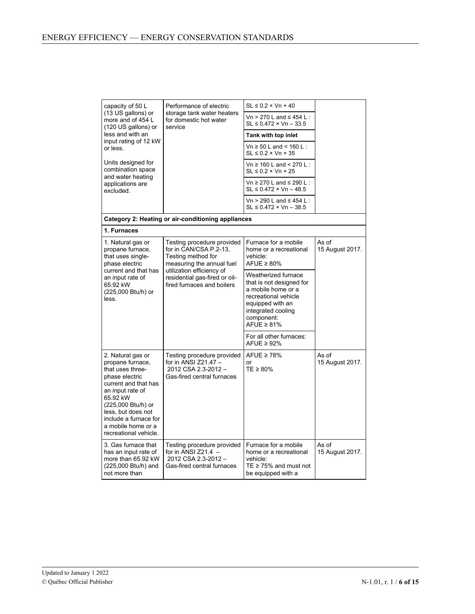| capacity of 50 L                                                                                                                                                                                                                                                                                                                                                           | Performance of electric                                                                                                                                                   | $SL \leq 0.2 \times Vn + 40$                                                                                   |                          |
|----------------------------------------------------------------------------------------------------------------------------------------------------------------------------------------------------------------------------------------------------------------------------------------------------------------------------------------------------------------------------|---------------------------------------------------------------------------------------------------------------------------------------------------------------------------|----------------------------------------------------------------------------------------------------------------|--------------------------|
| (13 US gallons) or<br>more and of 454 L<br>(120 US gallons) or<br>less and with an<br>input rating of 12 kW                                                                                                                                                                                                                                                                | storage tank water heaters<br>for domestic hot water<br>service                                                                                                           | Vn > 270 L and $\leq$ 454 L :<br>$SL \le 0.472 \times Vn - 33.5$                                               |                          |
|                                                                                                                                                                                                                                                                                                                                                                            |                                                                                                                                                                           | Tank with top inlet                                                                                            |                          |
| or less.                                                                                                                                                                                                                                                                                                                                                                   |                                                                                                                                                                           | Vn $\geq$ 50 L and < 160 L :<br>$SL \leq 0.2 \times Vn + 35$                                                   |                          |
| Units designed for<br>combination space<br>and water heating                                                                                                                                                                                                                                                                                                               |                                                                                                                                                                           | Vn ≥ 160 L and < 270 L :<br>$SL \leq 0.2 \times Vn + 25$                                                       |                          |
| applications are<br>excluded.                                                                                                                                                                                                                                                                                                                                              |                                                                                                                                                                           | Vn ≥ 270 L and ≤ 290 L :<br>SL ≤ 0.472 × Vn – 48.5                                                             |                          |
|                                                                                                                                                                                                                                                                                                                                                                            |                                                                                                                                                                           | Vn > 290 L and $\leq$ 454 L:<br>$SL \le 0.472 \times Vn - 38.5$                                                |                          |
|                                                                                                                                                                                                                                                                                                                                                                            | Category 2: Heating or air-conditioning appliances                                                                                                                        |                                                                                                                |                          |
| 1. Furnaces                                                                                                                                                                                                                                                                                                                                                                |                                                                                                                                                                           |                                                                                                                |                          |
| 1. Natural gas or<br>Testing procedure provided<br>for in CAN/CSA P.2-13,<br>propane furnace,<br>that uses single-<br>Testing method for<br>phase electric<br>measuring the annual fuel<br>current and that has<br>utilization efficiency of<br>residential gas-fired or oil-<br>an input rate of<br>fired furnaces and boilers<br>65.92 kW<br>(225,000 Btu/h) or<br>less. |                                                                                                                                                                           | Furnace for a mobile<br>home or a recreational<br>vehicle:<br>AFUE $\geq 80\%$                                 | As of<br>15 August 2017. |
|                                                                                                                                                                                                                                                                                                                                                                            | Weatherized furnace<br>that is not designed for<br>a mobile home or a<br>recreational vehicle<br>equipped with an<br>integrated cooling<br>component:<br>AFUE $\geq 81\%$ |                                                                                                                |                          |
|                                                                                                                                                                                                                                                                                                                                                                            |                                                                                                                                                                           | For all other furnaces:<br>AFUE $\geq$ 92%                                                                     |                          |
| 2. Natural gas or<br>propane furnace,<br>that uses three-<br>phase electric<br>current and that has<br>an input rate of<br>65.92 kW<br>(225,000 Btu/h) or<br>less, but does not<br>include a furnace for<br>a mobile home or a<br>recreational vehicle.                                                                                                                    | Testing procedure provided<br>for in ANSI Z21.47 -<br>2012 CSA 2.3-2012 -<br>Gas-fired central furnaces                                                                   | AFUE $\geq 78\%$<br>or<br>$TE \geq 80\%$                                                                       | As of<br>15 August 2017. |
| 3. Gas furnace that<br>has an input rate of<br>more than 65.92 kW<br>(225,000 Btu/h) and<br>not more than                                                                                                                                                                                                                                                                  | Testing procedure provided<br>for in ANSI $Z21.4 -$<br>2012 CSA 2.3-2012 -<br>Gas-fired central furnaces                                                                  | Furnace for a mobile<br>home or a recreational<br>vehicle:<br>TE $\geq$ 75% and must not<br>be equipped with a | As of<br>15 August 2017. |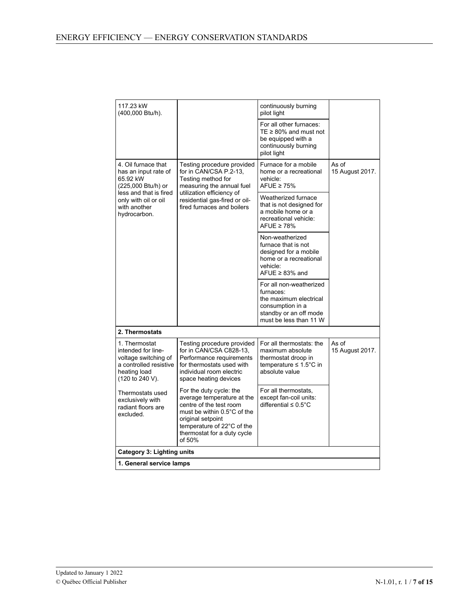| 117.23 kW<br>(400,000 Btu/h).                                                                                            |                                                                                                                                                                                                             | continuously burning<br>pilot light                                                                                                    |                          |
|--------------------------------------------------------------------------------------------------------------------------|-------------------------------------------------------------------------------------------------------------------------------------------------------------------------------------------------------------|----------------------------------------------------------------------------------------------------------------------------------------|--------------------------|
|                                                                                                                          |                                                                                                                                                                                                             | For all other furnaces:<br>TE $\geq$ 80% and must not<br>be equipped with a<br>continuously burning<br>pilot light                     |                          |
| 4. Oil furnace that<br>has an input rate of<br>65.92 kW<br>(225,000 Btu/h) or                                            | Testing procedure provided<br>for in CAN/CSA P.2-13,<br>Testing method for<br>measuring the annual fuel                                                                                                     | Furnace for a mobile<br>home or a recreational<br>vehicle:<br>AFUE $\geq 75\%$                                                         | As of<br>15 August 2017. |
| less and that is fired<br>only with oil or oil<br>with another<br>hydrocarbon.                                           | utilization efficiency of<br>residential gas-fired or oil-<br>fired furnaces and boilers                                                                                                                    | Weatherized furnace<br>that is not designed for<br>a mobile home or a<br>recreational vehicle:<br>AFUE $\geq 78\%$                     |                          |
|                                                                                                                          |                                                                                                                                                                                                             | Non-weatherized<br>furnace that is not<br>designed for a mobile<br>home or a recreational<br>vehicle:<br>AFUE $\geq$ 83% and           |                          |
|                                                                                                                          |                                                                                                                                                                                                             | For all non-weatherized<br>furnaces:<br>the maximum electrical<br>consumption in a<br>standby or an off mode<br>must be less than 11 W |                          |
| 2. Thermostats                                                                                                           |                                                                                                                                                                                                             |                                                                                                                                        |                          |
| 1. Thermostat<br>intended for line-<br>voltage switching of<br>a controlled resistive<br>heating load<br>(120 to 240 V). | Testing procedure provided<br>for in CAN/CSA C828-13,<br>Performance requirements<br>for thermostats used with<br>individual room electric<br>space heating devices                                         | For all thermostats: the<br>maximum absolute<br>thermostat droop in<br>temperature $\leq 1.5^{\circ}$ C in<br>absolute value           | As of<br>15 August 2017. |
| Thermostats used<br>exclusively with<br>radiant floors are<br>excluded.                                                  | For the duty cycle: the<br>average temperature at the<br>centre of the test room<br>must be within 0.5°C of the<br>original setpoint<br>temperature of 22°C of the<br>thermostat for a duty cycle<br>of 50% | For all thermostats,<br>except fan-coil units:<br>differential $\leq 0.5^{\circ}$ C                                                    |                          |
| <b>Category 3: Lighting units</b>                                                                                        |                                                                                                                                                                                                             |                                                                                                                                        |                          |
| 1. General service lamps                                                                                                 |                                                                                                                                                                                                             |                                                                                                                                        |                          |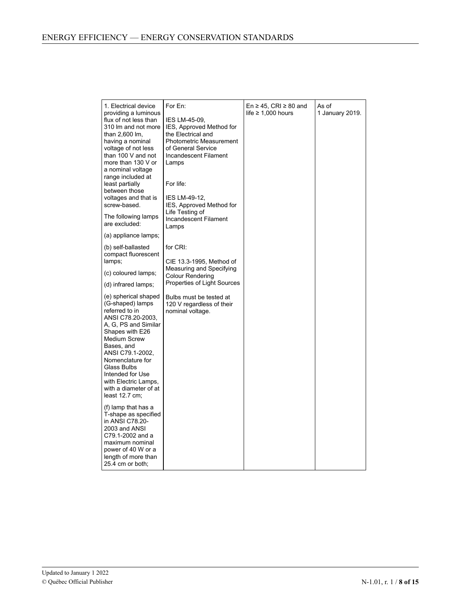| 1. Electrical device<br>providing a luminous                                                                                                                                                                                                                                                                    | For En:                                                                                                                                                                                                                                | En $\geq$ 45, CRI $\geq$ 80 and<br>life $\geq 1,000$ hours | As of<br>1 January 2019. |
|-----------------------------------------------------------------------------------------------------------------------------------------------------------------------------------------------------------------------------------------------------------------------------------------------------------------|----------------------------------------------------------------------------------------------------------------------------------------------------------------------------------------------------------------------------------------|------------------------------------------------------------|--------------------------|
| flux of not less than<br>310 Im and not more<br>than 2,600 lm,<br>having a nominal<br>voltage of not less<br>than 100 V and not<br>more than 130 V or<br>a nominal voltage<br>range included at<br>least partially<br>between those<br>voltages and that is<br>screw-based.                                     | IES LM-45-09,<br>IES, Approved Method for<br>the Electrical and<br><b>Photometric Measurement</b><br>of General Service<br>Incandescent Filament<br>Lamps<br>For life:<br>IES LM-49-12,<br>IES, Approved Method for<br>Life Testing of |                                                            |                          |
| The following lamps<br>are excluded:                                                                                                                                                                                                                                                                            | Incandescent Filament<br>Lamps                                                                                                                                                                                                         |                                                            |                          |
| (a) appliance lamps;                                                                                                                                                                                                                                                                                            |                                                                                                                                                                                                                                        |                                                            |                          |
| (b) self-ballasted<br>compact fluorescent<br>lamps;                                                                                                                                                                                                                                                             | for CRI:<br>CIE 13.3-1995, Method of                                                                                                                                                                                                   |                                                            |                          |
| (c) coloured lamps;                                                                                                                                                                                                                                                                                             | Measuring and Specifying<br>Colour Rendering                                                                                                                                                                                           |                                                            |                          |
| (d) infrared lamps;                                                                                                                                                                                                                                                                                             | Properties of Light Sources                                                                                                                                                                                                            |                                                            |                          |
| (e) spherical shaped<br>(G-shaped) lamps<br>referred to in<br>ANSI C78.20-2003,<br>A. G. PS and Similar<br>Shapes with E26<br><b>Medium Screw</b><br>Bases, and<br>ANSI C79.1-2002,<br>Nomenclature for<br>Glass Bulbs<br>Intended for Use<br>with Electric Lamps,<br>with a diameter of at<br>least $12.7$ cm; | Bulbs must be tested at<br>120 V regardless of their<br>nominal voltage.                                                                                                                                                               |                                                            |                          |
| (f) lamp that has a<br>T-shape as specified<br>in ANSI C78.20-<br>2003 and ANSI<br>C79.1-2002 and a<br>maximum nominal<br>power of 40 W or a<br>length of more than<br>25.4 cm or both;                                                                                                                         |                                                                                                                                                                                                                                        |                                                            |                          |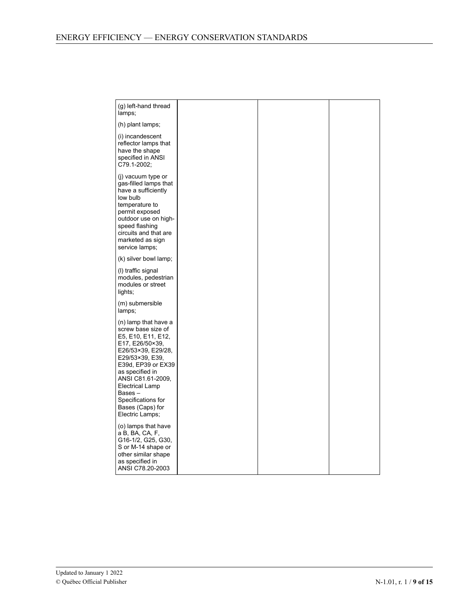| (g) left-hand thread<br>lamps;                                                                                                                                                                                                                                                              |
|---------------------------------------------------------------------------------------------------------------------------------------------------------------------------------------------------------------------------------------------------------------------------------------------|
| (h) plant lamps;                                                                                                                                                                                                                                                                            |
| (i) incandescent<br>reflector lamps that<br>have the shape<br>specified in ANSI<br>C79.1-2002;                                                                                                                                                                                              |
| (i) vacuum type or<br>gas-filled lamps that<br>have a sufficiently<br>low bulb<br>temperature to<br>permit exposed<br>outdoor use on high-<br>speed flashing<br>circuits and that are<br>marketed as sign<br>service lamps;                                                                 |
| (k) silver bowl lamp;                                                                                                                                                                                                                                                                       |
| (I) traffic signal<br>modules, pedestrian<br>modules or street<br>lights;                                                                                                                                                                                                                   |
| (m) submersible<br>lamps;                                                                                                                                                                                                                                                                   |
| (n) lamp that have a<br>screw base size of<br>E5, E10, E11, E12,<br>E17, E26/50×39,<br>E26/53×39, E29/28,<br>E29/53×39, E39,<br>E39d, EP39 or EX39<br>as specified in<br>ANSI C81.61-2009.<br><b>Electrical Lamp</b><br>Bases-<br>Specifications for<br>Bases (Caps) for<br>Electric Lamps; |
| (o) lamps that have<br>a B, BA, CA, F,<br>G16-1/2, G25, G30,<br>S or M-14 shape or<br>other similar shape<br>as specified in<br>ANSI C78.20-2003                                                                                                                                            |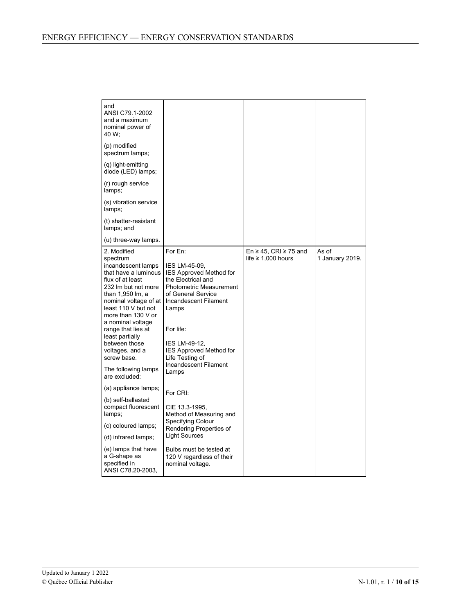| and<br>ANSI C79.1-2002<br>and a maximum<br>nominal power of<br>40 W;<br>(p) modified<br>spectrum lamps;<br>(q) light-emitting<br>diode (LED) lamps;<br>(r) rough service<br>lamps;                                                                                                                                                                                  |                                                                                                                                                                                                                                                                                          |                                                            |                          |
|---------------------------------------------------------------------------------------------------------------------------------------------------------------------------------------------------------------------------------------------------------------------------------------------------------------------------------------------------------------------|------------------------------------------------------------------------------------------------------------------------------------------------------------------------------------------------------------------------------------------------------------------------------------------|------------------------------------------------------------|--------------------------|
| (s) vibration service<br>lamps;                                                                                                                                                                                                                                                                                                                                     |                                                                                                                                                                                                                                                                                          |                                                            |                          |
| (t) shatter-resistant<br>lamps; and                                                                                                                                                                                                                                                                                                                                 |                                                                                                                                                                                                                                                                                          |                                                            |                          |
| (u) three-way lamps.                                                                                                                                                                                                                                                                                                                                                |                                                                                                                                                                                                                                                                                          |                                                            |                          |
| 2. Modified<br>spectrum<br>incandescent lamps<br>that have a luminous<br>flux of at least<br>232 Im but not more<br>than 1,950 lm, a<br>nominal voltage of at<br>least 110 V but not<br>more than 130 V or<br>a nominal voltage<br>range that lies at<br>least partially<br>between those<br>voltages, and a<br>screw base.<br>The following lamps<br>are excluded: | For En:<br>IES LM-45-09,<br>IES Approved Method for<br>the Electrical and<br><b>Photometric Measurement</b><br>of General Service<br>Incandescent Filament<br>Lamps<br>For life:<br>IES LM-49-12,<br><b>IES Approved Method for</b><br>Life Testing of<br>Incandescent Filament<br>Lamps | En $\geq$ 45, CRI $\geq$ 75 and<br>life $\geq 1,000$ hours | As of<br>1 January 2019. |
| (a) appliance lamps;                                                                                                                                                                                                                                                                                                                                                | For CRI:                                                                                                                                                                                                                                                                                 |                                                            |                          |
| (b) self-ballasted<br>compact fluorescent<br>lamps;                                                                                                                                                                                                                                                                                                                 | CIE 13.3-1995,<br>Method of Measuring and                                                                                                                                                                                                                                                |                                                            |                          |
| (c) coloured lamps;                                                                                                                                                                                                                                                                                                                                                 | Specifying Colour<br>Rendering Properties of                                                                                                                                                                                                                                             |                                                            |                          |
| (d) infrared lamps;                                                                                                                                                                                                                                                                                                                                                 | <b>Light Sources</b>                                                                                                                                                                                                                                                                     |                                                            |                          |
| (e) lamps that have<br>a G-shape as<br>specified in<br>ANSI C78.20-2003.                                                                                                                                                                                                                                                                                            | Bulbs must be tested at<br>120 V regardless of their<br>nominal voltage.                                                                                                                                                                                                                 |                                                            |                          |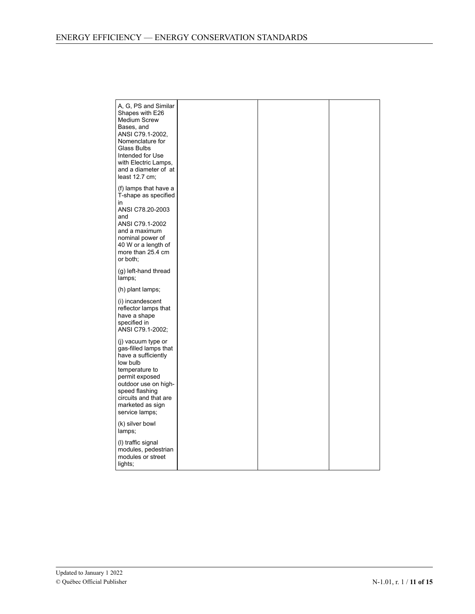| A, G, PS and Similar<br>Shapes with E26<br><b>Medium Screw</b><br>Bases, and<br>ANSI C79.1-2002,<br>Nomenclature for<br>Glass Bulbs<br>Intended for Use<br>with Electric Lamps,<br>and a diameter of at<br>least $12.7$ cm; |  |  |
|-----------------------------------------------------------------------------------------------------------------------------------------------------------------------------------------------------------------------------|--|--|
| (f) lamps that have a<br>T-shape as specified<br>in<br>ANSI C78.20-2003<br>and<br>ANSI C79.1-2002<br>and a maximum<br>nominal power of<br>40 W or a length of<br>more than 25.4 cm<br>or both;                              |  |  |
| (g) left-hand thread<br>lamps;                                                                                                                                                                                              |  |  |
| (h) plant lamps;                                                                                                                                                                                                            |  |  |
| (i) incandescent<br>reflector lamps that<br>have a shape<br>specified in<br>ANSI C79.1-2002;                                                                                                                                |  |  |
| (j) vacuum type or<br>gas-filled lamps that<br>have a sufficiently<br>low bulb<br>temperature to<br>permit exposed<br>outdoor use on high-<br>speed flashing<br>circuits and that are<br>marketed as sign<br>service lamps; |  |  |
| (k) silver bowl<br>lamps;                                                                                                                                                                                                   |  |  |
| (I) traffic signal<br>modules, pedestrian<br>modules or street<br>lights;                                                                                                                                                   |  |  |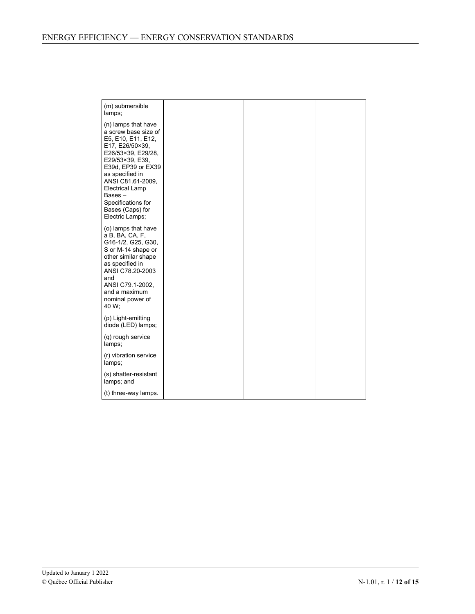| (m) submersible<br>lamps;                                                                                                                                                                                                                                                                    |  |  |
|----------------------------------------------------------------------------------------------------------------------------------------------------------------------------------------------------------------------------------------------------------------------------------------------|--|--|
| (n) lamps that have<br>a screw base size of<br>E5, E10, E11, E12,<br>E17, E26/50×39,<br>E26/53×39, E29/28,<br>E29/53×39, E39,<br>E39d, EP39 or EX39<br>as specified in<br>ANSI C81.61-2009.<br><b>Electrical Lamp</b><br>Bases-<br>Specifications for<br>Bases (Caps) for<br>Electric Lamps; |  |  |
| (o) lamps that have<br>a B, BA, CA, F,<br>G16-1/2, G25, G30,<br>S or M-14 shape or<br>other similar shape<br>as specified in<br>ANSI C78.20-2003<br>and<br>ANSI C79.1-2002,<br>and a maximum<br>nominal power of<br>40 W;                                                                    |  |  |
| (p) Light-emitting<br>diode (LED) lamps;                                                                                                                                                                                                                                                     |  |  |
| (q) rough service<br>lamps;                                                                                                                                                                                                                                                                  |  |  |
| (r) vibration service<br>lamps;                                                                                                                                                                                                                                                              |  |  |
| (s) shatter-resistant<br>lamps; and                                                                                                                                                                                                                                                          |  |  |
| (t) three-way lamps.                                                                                                                                                                                                                                                                         |  |  |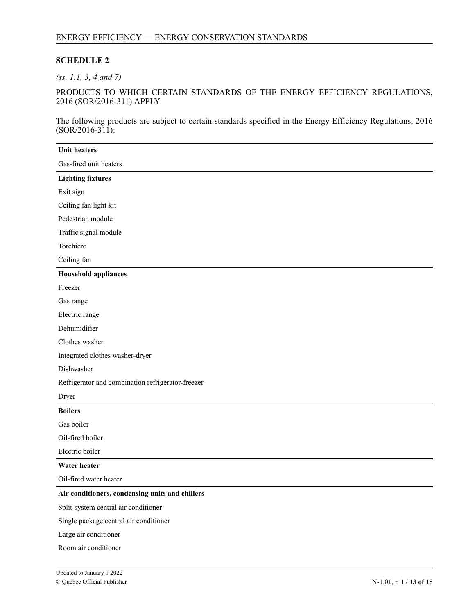## **SCHEDULE 2**

*(ss. 1.1, 3, 4 and 7)*

PRODUCTS TO WHICH CERTAIN STANDARDS OF THE ENERGY EFFICIENCY REGULATIONS, 2016 (SOR/2016-311) APPLY

The following products are subject to certain standards specified in the Energy Efficiency Regulations, 2016  $(SOR/2016-311)$ :

| <b>Unit heaters</b>                               |
|---------------------------------------------------|
| Gas-fired unit heaters                            |
| <b>Lighting fixtures</b>                          |
| Exit sign                                         |
| Ceiling fan light kit                             |
| Pedestrian module                                 |
| Traffic signal module                             |
| Torchiere                                         |
| Ceiling fan                                       |
| <b>Household appliances</b>                       |
| Freezer                                           |
| Gas range                                         |
| Electric range                                    |
| Dehumidifier                                      |
| Clothes washer                                    |
| Integrated clothes washer-dryer                   |
| Dishwasher                                        |
| Refrigerator and combination refrigerator-freezer |
| Dryer                                             |
| <b>Boilers</b>                                    |
| Gas boiler                                        |
| Oil-fired boiler                                  |
| Electric boiler                                   |
| Water heater                                      |
| Oil-fired water heater                            |
| Air conditioners, condensing units and chillers   |
| Split-system central air conditioner              |
| Single package central air conditioner            |
| Large air conditioner                             |
| Room air conditioner                              |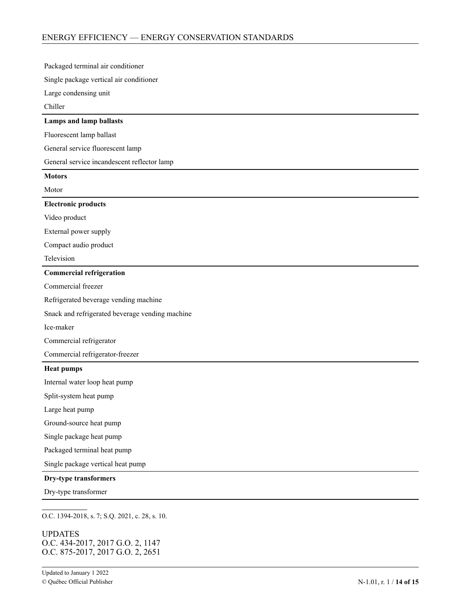| Packaged terminal air conditioner               |
|-------------------------------------------------|
| Single package vertical air conditioner         |
| Large condensing unit                           |
| Chiller                                         |
| Lamps and lamp ballasts                         |
| Fluorescent lamp ballast                        |
| General service fluorescent lamp                |
| General service incandescent reflector lamp     |
| <b>Motors</b>                                   |
| Motor                                           |
| <b>Electronic products</b>                      |
| Video product                                   |
| External power supply                           |
| Compact audio product                           |
| Television                                      |
| <b>Commercial refrigeration</b>                 |
| Commercial freezer                              |
| Refrigerated beverage vending machine           |
| Snack and refrigerated beverage vending machine |
| Ice-maker                                       |
| Commercial refrigerator                         |
| Commercial refrigerator-freezer                 |
| <b>Heat pumps</b>                               |
| Internal water loop heat pump                   |
| Split-system heat pump                          |
| Large heat pump                                 |
| Ground-source heat pump                         |
| Single package heat pump                        |
| Packaged terminal heat pump                     |
| Single package vertical heat pump               |
| Dry-type transformers                           |
| Dry-type transformer                            |
|                                                 |

O.C. 1394-2018, s. 7; S.Q. 2021, c. 28, s. 10.

**UPDATES** 4 O.C. 434-2017, 2017 G.O. 2, 1147 - O.C. 875-2017, 2017 G.O. 2, 2651